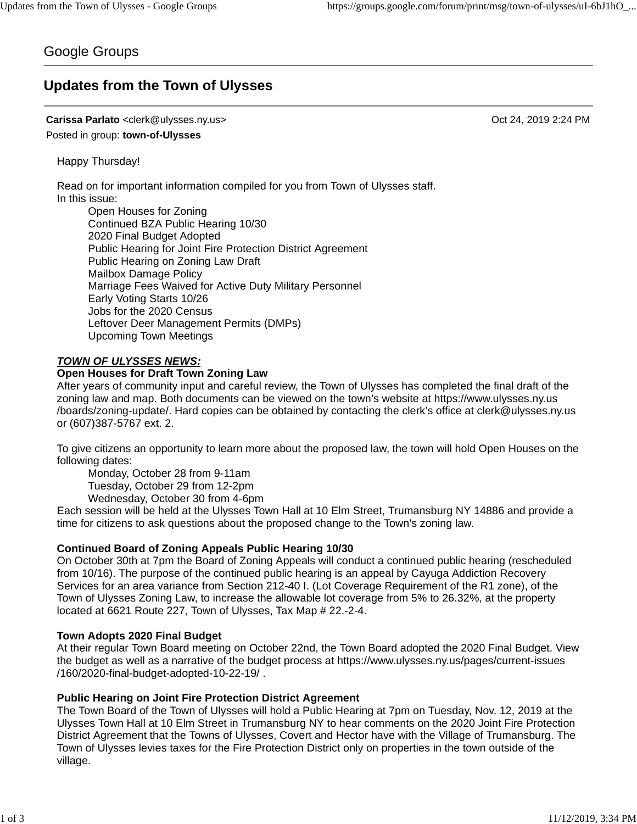# Google Groups

# **Updates from the Town of Ulysses**

#### **Carissa Parlato** <clerk@ulysses.ny.us> Oct 24, 2019 2:24 PM

Posted in group: **town-of-Ulysses**

Happy Thursday!

Read on for important information compiled for you from Town of Ulysses staff. In this issue:

Open Houses for Zoning Continued BZA Public Hearing 10/30 2020 Final Budget Adopted Public Hearing for Joint Fire Protection District Agreement Public Hearing on Zoning Law Draft Mailbox Damage Policy Marriage Fees Waived for Active Duty Military Personnel Early Voting Starts 10/26 Jobs for the 2020 Census Leftover Deer Management Permits (DMPs) Upcoming Town Meetings

#### *TOWN OF ULYSSES NEWS:*

#### **Open Houses for Draft Town Zoning Law**

After years of community input and careful review, the Town of Ulysses has completed the final draft of the zoning law and map. Both documents can be viewed on the town's website at https://www.ulysses.ny.us /boards/zoning-update/. Hard copies can be obtained by contacting the clerk's office at clerk@ulysses.ny.us or (607)387-5767 ext. 2.

To give citizens an opportunity to learn more about the proposed law, the town will hold Open Houses on the following dates:

Monday, October 28 from 9-11am

Tuesday, October 29 from 12-2pm

Wednesday, October 30 from 4-6pm

Each session will be held at the Ulysses Town Hall at 10 Elm Street, Trumansburg NY 14886 and provide a time for citizens to ask questions about the proposed change to the Town's zoning law.

#### **Continued Board of Zoning Appeals Public Hearing 10/30**

On October 30th at 7pm the Board of Zoning Appeals will conduct a continued public hearing (rescheduled from 10/16). The purpose of the continued public hearing is an appeal by Cayuga Addiction Recovery Services for an area variance from Section 212-40 I. (Lot Coverage Requirement of the R1 zone), of the Town of Ulysses Zoning Law, to increase the allowable lot coverage from 5% to 26.32%, at the property located at 6621 Route 227, Town of Ulysses, Tax Map # 22.-2-4.

#### **Town Adopts 2020 Final Budget**

At their regular Town Board meeting on October 22nd, the Town Board adopted the 2020 Final Budget. View the budget as well as a narrative of the budget process at https://www.ulysses.ny.us/pages/current-issues /160/2020-final-budget-adopted-10-22-19/ .

#### **Public Hearing on Joint Fire Protection District Agreement**

The Town Board of the Town of Ulysses will hold a Public Hearing at 7pm on Tuesday, Nov. 12, 2019 at the Ulysses Town Hall at 10 Elm Street in Trumansburg NY to hear comments on the 2020 Joint Fire Protection District Agreement that the Towns of Ulysses, Covert and Hector have with the Village of Trumansburg. The Town of Ulysses levies taxes for the Fire Protection District only on properties in the town outside of the village.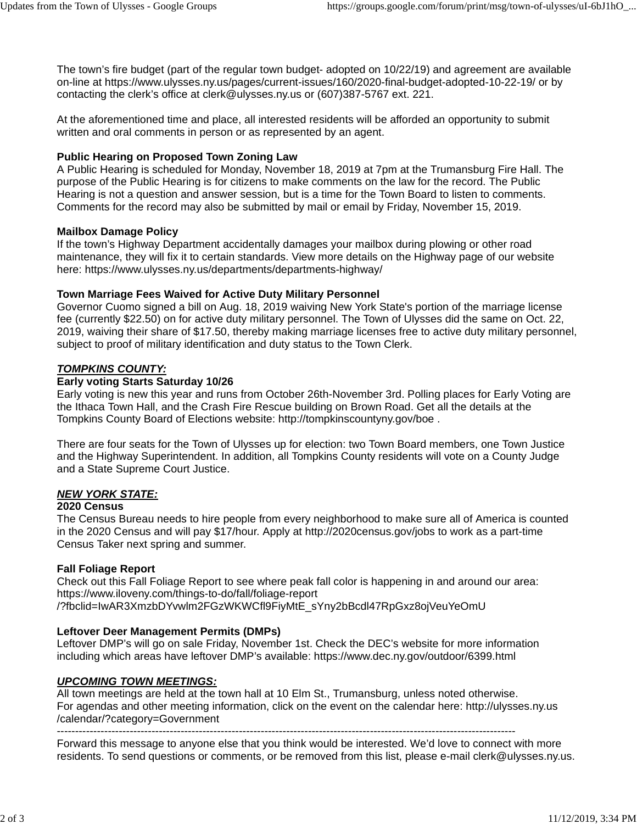The town's fire budget (part of the regular town budget- adopted on 10/22/19) and agreement are available on-line at https://www.ulysses.ny.us/pages/current-issues/160/2020-final-budget-adopted-10-22-19/ or by contacting the clerk's office at clerk@ulysses.ny.us or (607)387-5767 ext. 221.

At the aforementioned time and place, all interested residents will be afforded an opportunity to submit written and oral comments in person or as represented by an agent.

## **Public Hearing on Proposed Town Zoning Law**

A Public Hearing is scheduled for Monday, November 18, 2019 at 7pm at the Trumansburg Fire Hall. The purpose of the Public Hearing is for citizens to make comments on the law for the record. The Public Hearing is not a question and answer session, but is a time for the Town Board to listen to comments. Comments for the record may also be submitted by mail or email by Friday, November 15, 2019.

## **Mailbox Damage Policy**

If the town's Highway Department accidentally damages your mailbox during plowing or other road maintenance, they will fix it to certain standards. View more details on the Highway page of our website here: https://www.ulysses.ny.us/departments/departments-highway/

## **Town Marriage Fees Waived for Active Duty Military Personnel**

Governor Cuomo signed a bill on Aug. 18, 2019 waiving New York State's portion of the marriage license fee (currently \$22.50) on for active duty military personnel. The Town of Ulysses did the same on Oct. 22, 2019, waiving their share of \$17.50, thereby making marriage licenses free to active duty military personnel, subject to proof of military identification and duty status to the Town Clerk.

## *TOMPKINS COUNTY:*

#### **Early voting Starts Saturday 10/26**

Early voting is new this year and runs from October 26th-November 3rd. Polling places for Early Voting are the Ithaca Town Hall, and the Crash Fire Rescue building on Brown Road. Get all the details at the Tompkins County Board of Elections website: http://tompkinscountyny.gov/boe .

There are four seats for the Town of Ulysses up for election: two Town Board members, one Town Justice and the Highway Superintendent. In addition, all Tompkins County residents will vote on a County Judge and a State Supreme Court Justice.

## *NEW YORK STATE:*

#### **2020 Census**

The Census Bureau needs to hire people from every neighborhood to make sure all of America is counted in the 2020 Census and will pay \$17/hour. Apply at http://2020census.gov/jobs to work as a part-time Census Taker next spring and summer.

## **Fall Foliage Report**

Check out this Fall Foliage Report to see where peak fall color is happening in and around our area: https://www.iloveny.com/things-to-do/fall/foliage-report /?fbclid=IwAR3XmzbDYvwlm2FGzWKWCfl9FiyMtE\_sYny2bBcdl47RpGxz8ojVeuYeOmU

## **Leftover Deer Management Permits (DMPs)**

Leftover DMP's will go on sale Friday, November 1st. Check the DEC's website for more information including which areas have leftover DMP's available: https://www.dec.ny.gov/outdoor/6399.html

# *UPCOMING TOWN MEETINGS:*

All town meetings are held at the town hall at 10 Elm St., Trumansburg, unless noted otherwise. For agendas and other meeting information, click on the event on the calendar here: http://ulysses.ny.us /calendar/?category=Government

------------------------------------------------------------------------------------------------------------------------------

Forward this message to anyone else that you think would be interested. We'd love to connect with more residents. To send questions or comments, or be removed from this list, please e-mail clerk@ulysses.ny.us.